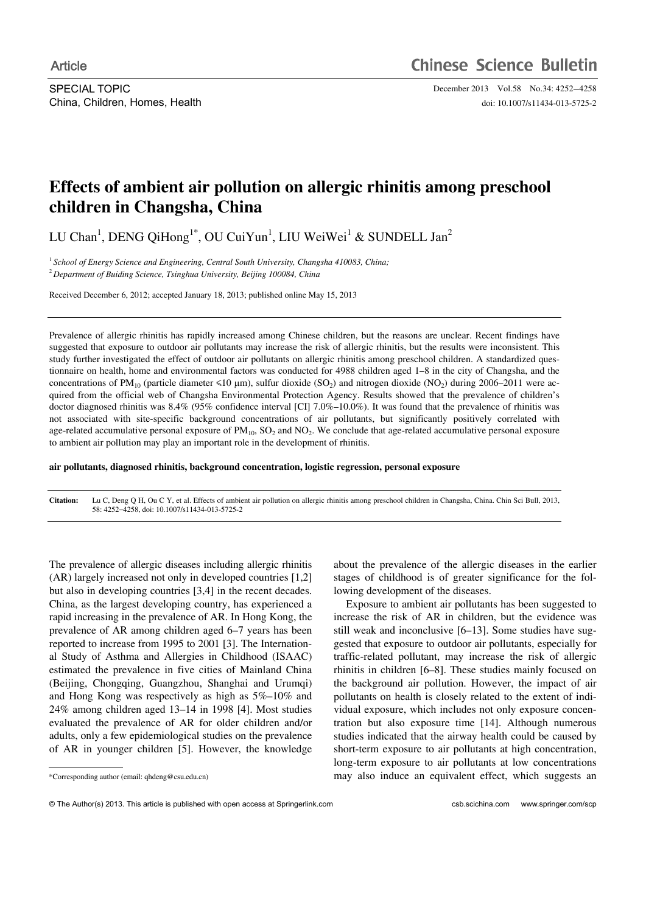SPECIAL TOPIC December 2013 Vol.58 No.34: 4252-4258 China, Children, Homes, Health doi: 10.1007/s11434-013-5725-2

# **Effects of ambient air pollution on allergic rhinitis among preschool children in Changsha, China**

LU Chan<sup>1</sup>, DENG QiHong<sup>1\*</sup>, OU CuiYun<sup>1</sup>, LIU WeiWei<sup>1</sup> & SUNDELL Jan<sup>2</sup>

<sup>1</sup> School of Energy Science and Engineering, Central South University, Changsha 410083, China; <sup>2</sup> *Department of Buiding Science, Tsinghua University, Beijing 100084, China* 

Received December 6, 2012; accepted January 18, 2013; published online May 15, 2013

Prevalence of allergic rhinitis has rapidly increased among Chinese children, but the reasons are unclear. Recent findings have suggested that exposure to outdoor air pollutants may increase the risk of allergic rhinitis, but the results were inconsistent. This study further investigated the effect of outdoor air pollutants on allergic rhinitis among preschool children. A standardized questionnaire on health, home and environmental factors was conducted for 4988 children aged 1–8 in the city of Changsha, and the concentrations of PM<sub>10</sub> (particle diameter  $\leq 10 \mu m$ ), sulfur dioxide (SO<sub>2</sub>) and nitrogen dioxide (NO<sub>2</sub>) during 2006–2011 were acquired from the official web of Changsha Environmental Protection Agency. Results showed that the prevalence of children's doctor diagnosed rhinitis was 8.4% (95% confidence interval [CI] 7.0%–10.0%). It was found that the prevalence of rhinitis was not associated with site-specific background concentrations of air pollutants, but significantly positively correlated with age-related accumulative personal exposure of  $PM_{10}$ ,  $SO_2$  and  $NO_2$ . We conclude that age-related accumulative personal exposure to ambient air pollution may play an important role in the development of rhinitis.

**air pollutants, diagnosed rhinitis, background concentration, logistic regression, personal exposure** 

**Citation:** Lu C, Deng Q H, Ou C Y, et al. Effects of ambient air pollution on allergic rhinitis among preschool children in Changsha, China. Chin Sci Bull, 2013, 58: 42524258, doi: 10.1007/s11434-013-5725-2

The prevalence of allergic diseases including allergic rhinitis (AR) largely increased not only in developed countries [1,2] but also in developing countries [3,4] in the recent decades. China, as the largest developing country, has experienced a rapid increasing in the prevalence of AR. In Hong Kong, the prevalence of AR among children aged 6–7 years has been reported to increase from 1995 to 2001 [3]. The International Study of Asthma and Allergies in Childhood (ISAAC) estimated the prevalence in five cities of Mainland China (Beijing, Chongqing, Guangzhou, Shanghai and Urumqi) and Hong Kong was respectively as high as 5%–10% and 24% among children aged 13–14 in 1998 [4]. Most studies evaluated the prevalence of AR for older children and/or adults, only a few epidemiological studies on the prevalence of AR in younger children [5]. However, the knowledge

 $\overline{a}$ 

about the prevalence of the allergic diseases in the earlier stages of childhood is of greater significance for the following development of the diseases.

Exposure to ambient air pollutants has been suggested to increase the risk of AR in children, but the evidence was still weak and inconclusive [6–13]. Some studies have suggested that exposure to outdoor air pollutants, especially for traffic-related pollutant, may increase the risk of allergic rhinitis in children [6–8]. These studies mainly focused on the background air pollution. However, the impact of air pollutants on health is closely related to the extent of individual exposure, which includes not only exposure concentration but also exposure time [14]. Although numerous studies indicated that the airway health could be caused by short-term exposure to air pollutants at high concentration, long-term exposure to air pollutants at low concentrations may also induce an equivalent effect, which suggests an

<sup>\*</sup>Corresponding author (email: qhdeng@csu.edu.cn)

<sup>©</sup> The Author(s) 2013. This article is published with open access at Springerlink.com csb.scichina.com www.springer.com/scp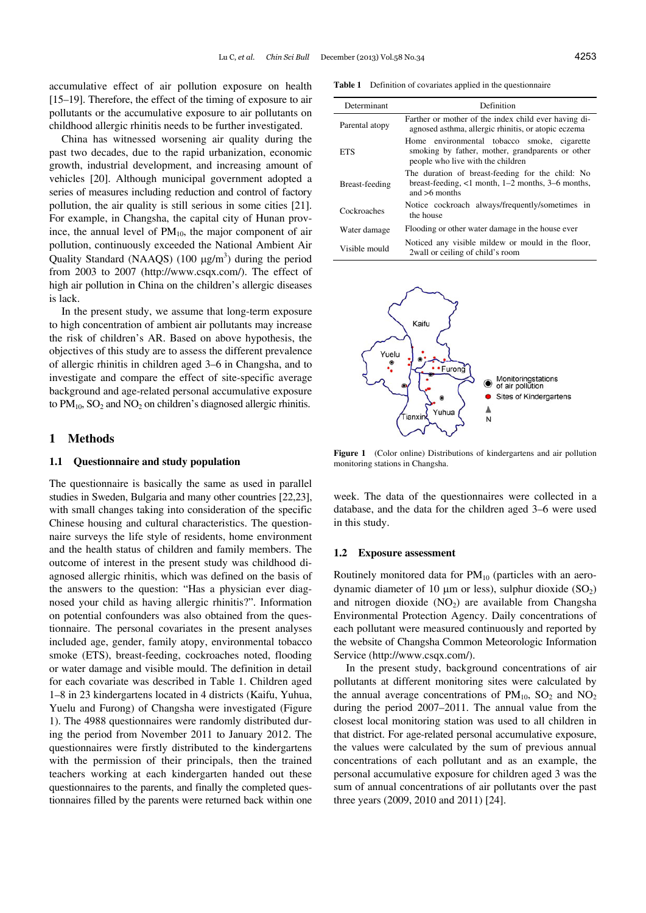accumulative effect of air pollution exposure on health [15–19]. Therefore, the effect of the timing of exposure to air pollutants or the accumulative exposure to air pollutants on childhood allergic rhinitis needs to be further investigated.

China has witnessed worsening air quality during the past two decades, due to the rapid urbanization, economic growth, industrial development, and increasing amount of vehicles [20]. Although municipal government adopted a series of measures including reduction and control of factory pollution, the air quality is still serious in some cities [21]. For example, in Changsha, the capital city of Hunan province, the annual level of  $PM_{10}$ , the major component of air pollution, continuously exceeded the National Ambient Air Quality Standard (NAAQS)  $(100 \mu g/m^3)$  during the period from 2003 to 2007 (http://www.csqx.com/). The effect of high air pollution in China on the children's allergic diseases is lack.

In the present study, we assume that long-term exposure to high concentration of ambient air pollutants may increase the risk of children's AR. Based on above hypothesis, the objectives of this study are to assess the different prevalence of allergic rhinitis in children aged 3–6 in Changsha, and to investigate and compare the effect of site-specific average background and age-related personal accumulative exposure to  $PM_{10}$ ,  $SO_2$  and  $NO_2$  on children's diagnosed allergic rhinitis.

# **1 Methods**

### **1.1 Questionnaire and study population**

The questionnaire is basically the same as used in parallel studies in Sweden, Bulgaria and many other countries [22,23], with small changes taking into consideration of the specific Chinese housing and cultural characteristics. The questionnaire surveys the life style of residents, home environment and the health status of children and family members. The outcome of interest in the present study was childhood diagnosed allergic rhinitis, which was defined on the basis of the answers to the question: "Has a physician ever diagnosed your child as having allergic rhinitis?". Information on potential confounders was also obtained from the questionnaire. The personal covariates in the present analyses included age, gender, family atopy, environmental tobacco smoke (ETS), breast-feeding, cockroaches noted, flooding or water damage and visible mould. The definition in detail for each covariate was described in Table 1. Children aged 1–8 in 23 kindergartens located in 4 districts (Kaifu, Yuhua, Yuelu and Furong) of Changsha were investigated (Figure 1). The 4988 questionnaires were randomly distributed during the period from November 2011 to January 2012. The questionnaires were firstly distributed to the kindergartens with the permission of their principals, then the trained teachers working at each kindergarten handed out these questionnaires to the parents, and finally the completed questionnaires filled by the parents were returned back within one

**Table 1** Definition of covariates applied in the questionnaire

| Determinant    | Definition                                                                                                                           |
|----------------|--------------------------------------------------------------------------------------------------------------------------------------|
| Parental atopy | Farther or mother of the index child ever having di-<br>agnosed asthma, allergic rhinitis, or atopic eczema                          |
| ETS            | Home environmental tobacco smoke, cigarette<br>smoking by father, mother, grandparents or other<br>people who live with the children |
| Breast-feeding | The duration of breast-feeding for the child: No<br>breast-feeding, $<$ 1 month, 1–2 months, 3–6 months,<br>and $>6$ months          |
| Cockroaches    | Notice cockroach always/frequently/sometimes in<br>the house                                                                         |
| Water damage   | Flooding or other water damage in the house ever                                                                                     |
| Visible mould  | Noticed any visible mildew or mould in the floor,<br>2 wall or ceiling of child's room                                               |



**Figure 1** (Color online) Distributions of kindergartens and air pollution monitoring stations in Changsha.

week. The data of the questionnaires were collected in a database, and the data for the children aged 3–6 were used in this study.

## **1.2 Exposure assessment**

Routinely monitored data for  $PM_{10}$  (particles with an aerodynamic diameter of 10  $\mu$ m or less), sulphur dioxide (SO<sub>2</sub>) and nitrogen dioxide  $(NO<sub>2</sub>)$  are available from Changsha Environmental Protection Agency. Daily concentrations of each pollutant were measured continuously and reported by the website of Changsha Common Meteorologic Information Service (http://www.csqx.com/).

In the present study, background concentrations of air pollutants at different monitoring sites were calculated by the annual average concentrations of  $PM_{10}$ ,  $SO_2$  and  $NO_2$ during the period 2007–2011. The annual value from the closest local monitoring station was used to all children in that district. For age-related personal accumulative exposure, the values were calculated by the sum of previous annual concentrations of each pollutant and as an example, the personal accumulative exposure for children aged 3 was the sum of annual concentrations of air pollutants over the past three years (2009, 2010 and 2011) [24].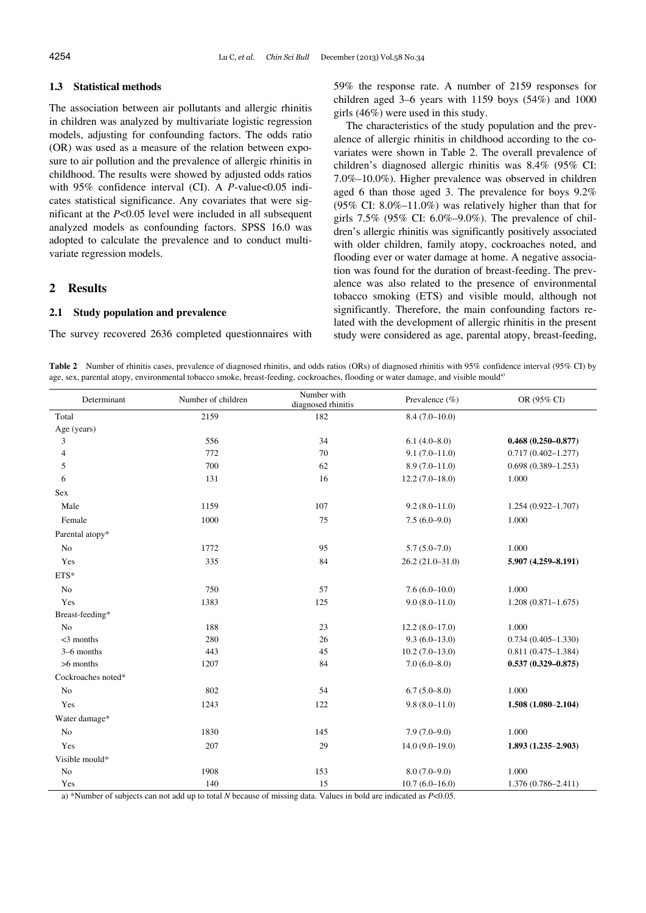# **1.3 Statistical methods**

The association between air pollutants and allergic rhinitis in children was analyzed by multivariate logistic regression models, adjusting for confounding factors. The odds ratio (OR) was used as a measure of the relation between exposure to air pollution and the prevalence of allergic rhinitis in childhood. The results were showed by adjusted odds ratios with 95% confidence interval (CI). A *P*-value<0.05 indicates statistical significance. Any covariates that were significant at the *P*<0.05 level were included in all subsequent analyzed models as confounding factors. SPSS 16.0 was adopted to calculate the prevalence and to conduct multivariate regression models.

# **2 Results**

## **2.1 Study population and prevalence**

The survey recovered 2636 completed questionnaires with

59% the response rate. A number of 2159 responses for children aged 3–6 years with 1159 boys (54%) and 1000 girls (46%) were used in this study.

The characteristics of the study population and the prevalence of allergic rhinitis in childhood according to the covariates were shown in Table 2. The overall prevalence of children's diagnosed allergic rhinitis was 8.4% (95% CI: 7.0%–10.0%). Higher prevalence was observed in children aged 6 than those aged 3. The prevalence for boys 9.2% (95% CI: 8.0%–11.0%) was relatively higher than that for girls 7.5% (95% CI: 6.0%–9.0%). The prevalence of children's allergic rhinitis was significantly positively associated with older children, family atopy, cockroaches noted, and flooding ever or water damage at home. A negative association was found for the duration of breast-feeding. The prevalence was also related to the presence of environmental tobacco smoking (ETS) and visible mould, although not significantly. Therefore, the main confounding factors related with the development of allergic rhinitis in the present study were considered as age, parental atopy, breast-feeding,

**Table 2** Number of rhinitis cases, prevalence of diagnosed rhinitis, and odds ratios (ORs) of diagnosed rhinitis with 95% confidence interval (95% CI) by age, sex, parental atopy, environmental tobacco smoke, breast-feeding, cockroaches, flooding or water damage, and visible mould<sup>a)</sup>

| Determinant        | Number of children | Number with<br>diagnosed rhinitis | Prevalence $(\% )$ | OR (95% CI)            |  |
|--------------------|--------------------|-----------------------------------|--------------------|------------------------|--|
| Total              | 2159               | 182                               | $8.4(7.0-10.0)$    |                        |  |
| Age (years)        |                    |                                   |                    |                        |  |
| 3                  | 556                | 34                                | $6.1(4.0-8.0)$     | $0.468(0.250 - 0.877)$ |  |
| 4                  | 772                | 70                                | $9.1(7.0 - 11.0)$  | $0.717(0.402 - 1.277)$ |  |
| 5                  | 700                | 62                                | $8.9(7.0-11.0)$    | $0.698(0.389 - 1.253)$ |  |
| 6                  | 131                | 16                                | $12.2(7.0-18.0)$   | 1.000                  |  |
| Sex                |                    |                                   |                    |                        |  |
| Male               | 1159               | 107                               | $9.2(8.0-11.0)$    | $1.254(0.922 - 1.707)$ |  |
| Female             | 1000               | 75                                | $7.5(6.0-9.0)$     | 1.000                  |  |
| Parental atopy*    |                    |                                   |                    |                        |  |
| No                 | 1772               | 95                                | $5.7(5.0 - 7.0)$   | 1.000                  |  |
| Yes                | 335                | $\bf 84$                          | $26.2(21.0-31.0)$  | 5.907 (4.259-8.191)    |  |
| ETS*               |                    |                                   |                    |                        |  |
| No                 | 750                | 57                                | $7.6(6.0-10.0)$    | 1.000                  |  |
| Yes                | 1383               | 125                               | $9.0(8.0 - 11.0)$  | $1.208(0.871 - 1.675)$ |  |
| Breast-feeding*    |                    |                                   |                    |                        |  |
| No                 | 188                | 23                                | $12.2(8.0-17.0)$   | 1.000                  |  |
| $<$ 3 months       | 280                | 26                                | $9.3(6.0-13.0)$    | $0.734(0.405 - 1.330)$ |  |
| 3-6 months         | 443                | 45                                | $10.2(7.0-13.0)$   | $0.811(0.475 - 1.384)$ |  |
| >6 months          | 1207               | 84                                | $7.0(6.0 - 8.0)$   | $0.537(0.329 - 0.875)$ |  |
| Cockroaches noted* |                    |                                   |                    |                        |  |
| No                 | 802                | 54                                | $6.7(5.0 - 8.0)$   | 1.000                  |  |
| Yes                | 1243               | 122                               | $9.8(8.0 - 11.0)$  | $1.508(1.080 - 2.104)$ |  |
| Water damage*      |                    |                                   |                    |                        |  |
| No                 | 1830               | 145                               | $7.9(7.0-9.0)$     | 1.000                  |  |
| Yes                | 207                | 29                                | $14.0(9.0-19.0)$   | $1.893(1.235-2.903)$   |  |
| Visible mould*     |                    |                                   |                    |                        |  |
| No                 | 1908               | 153                               | $8.0(7.0-9.0)$     | 1.000                  |  |
| Yes                | 140                | 15                                | $10.7(6.0 - 16.0)$ | $1.376(0.786 - 2.411)$ |  |

a) \*Number of subjects can not add up to total *N* because of missing data. Values in bold are indicated as *P*<0.05.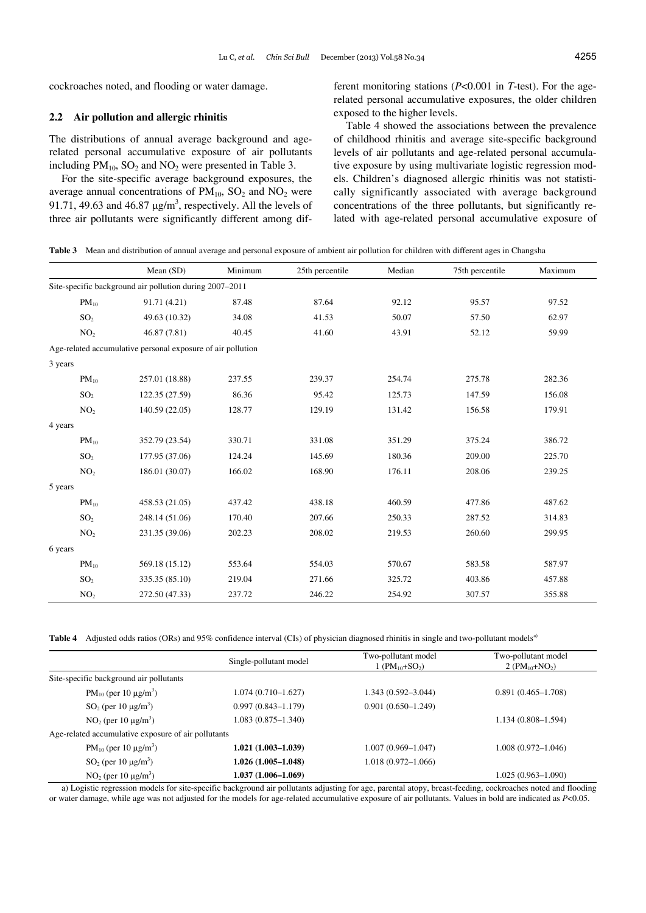cockroaches noted, and flooding or water damage.

# **2.2 Air pollution and allergic rhinitis**

The distributions of annual average background and agerelated personal accumulative exposure of air pollutants including  $PM_{10}$ ,  $SO_2$  and  $NO_2$  were presented in Table 3.

For the site-specific average background exposures, the average annual concentrations of  $PM_{10}$ ,  $SO_2$  and  $NO_2$  were 91.71, 49.63 and 46.87  $\mu$ g/m<sup>3</sup>, respectively. All the levels of three air pollutants were significantly different among different monitoring stations (*P*<0.001 in *T*-test). For the agerelated personal accumulative exposures, the older children exposed to the higher levels.

Table 4 showed the associations between the prevalence of childhood rhinitis and average site-specific background levels of air pollutants and age-related personal accumulative exposure by using multivariate logistic regression models. Children's diagnosed allergic rhinitis was not statistically significantly associated with average background concentrations of the three pollutants, but significantly related with age-related personal accumulative exposure of

| Table 3 Mean and distribution of annual average and personal exposure of ambient air pollution for children with different ages in Changsh? |  |  |
|---------------------------------------------------------------------------------------------------------------------------------------------|--|--|
|                                                                                                                                             |  |  |

|                                                             | Mean (SD)                                               | Minimum | 25th percentile | Median | 75th percentile | Maximum |  |  |  |
|-------------------------------------------------------------|---------------------------------------------------------|---------|-----------------|--------|-----------------|---------|--|--|--|
|                                                             | Site-specific background air pollution during 2007–2011 |         |                 |        |                 |         |  |  |  |
| $PM_{10}$                                                   | 91.71 (4.21)                                            | 87.48   | 87.64           | 92.12  | 95.57           | 97.52   |  |  |  |
| SO <sub>2</sub>                                             | 49.63 (10.32)                                           | 34.08   | 41.53           | 50.07  | 57.50           | 62.97   |  |  |  |
| NO <sub>2</sub>                                             | 46.87 (7.81)                                            | 40.45   | 41.60           | 43.91  | 52.12           | 59.99   |  |  |  |
| Age-related accumulative personal exposure of air pollution |                                                         |         |                 |        |                 |         |  |  |  |
| 3 years                                                     |                                                         |         |                 |        |                 |         |  |  |  |
| $PM_{10}$                                                   | 257.01 (18.88)                                          | 237.55  | 239.37          | 254.74 | 275.78          | 282.36  |  |  |  |
| SO <sub>2</sub>                                             | 122.35 (27.59)                                          | 86.36   | 95.42           | 125.73 | 147.59          | 156.08  |  |  |  |
| NO <sub>2</sub>                                             | 140.59 (22.05)                                          | 128.77  | 129.19          | 131.42 | 156.58          | 179.91  |  |  |  |
| 4 years                                                     |                                                         |         |                 |        |                 |         |  |  |  |
| $PM_{10}$                                                   | 352.79 (23.54)                                          | 330.71  | 331.08          | 351.29 | 375.24          | 386.72  |  |  |  |
| SO <sub>2</sub>                                             | 177.95 (37.06)                                          | 124.24  | 145.69          | 180.36 | 209.00          | 225.70  |  |  |  |
| NO <sub>2</sub>                                             | 186.01 (30.07)                                          | 166.02  | 168.90          | 176.11 | 208.06          | 239.25  |  |  |  |
| 5 years                                                     |                                                         |         |                 |        |                 |         |  |  |  |
| $PM_{10}$                                                   | 458.53 (21.05)                                          | 437.42  | 438.18          | 460.59 | 477.86          | 487.62  |  |  |  |
| SO <sub>2</sub>                                             | 248.14 (51.06)                                          | 170.40  | 207.66          | 250.33 | 287.52          | 314.83  |  |  |  |
| NO <sub>2</sub>                                             | 231.35 (39.06)                                          | 202.23  | 208.02          | 219.53 | 260.60          | 299.95  |  |  |  |
| 6 years                                                     |                                                         |         |                 |        |                 |         |  |  |  |
| $PM_{10}$                                                   | 569.18 (15.12)                                          | 553.64  | 554.03          | 570.67 | 583.58          | 587.97  |  |  |  |
| SO <sub>2</sub>                                             | 335.35 (85.10)                                          | 219.04  | 271.66          | 325.72 | 403.86          | 457.88  |  |  |  |
| NO <sub>2</sub>                                             | 272.50 (47.33)                                          | 237.72  | 246.22          | 254.92 | 307.57          | 355.88  |  |  |  |

**Table 4** Adjusted odds ratios (ORs) and 95% confidence interval (CIs) of physician diagnosed rhinitis in single and two-pollutant models<sup>a)</sup>

|                                                     | Single-pollutant model | Two-pollutant model<br>1 ( $PM_{10} + SO_2$ ) | Two-pollutant model<br>2 ( $PM_{10} + NO_2$ ) |
|-----------------------------------------------------|------------------------|-----------------------------------------------|-----------------------------------------------|
| Site-specific background air pollutants             |                        |                                               |                                               |
| PM <sub>10</sub> (per 10 $\mu$ g/m <sup>3</sup> )   | $1.074(0.710 - 1.627)$ | $1.343(0.592 - 3.044)$                        | $0.891(0.465 - 1.708)$                        |
| $SO_2$ (per 10 $\mu$ g/m <sup>3</sup> )             | $0.997(0.843 - 1.179)$ | $0.901(0.650 - 1.249)$                        |                                               |
| $NO2$ (per 10 $\mu$ g/m <sup>3</sup> )              | $1.083(0.875 - 1.340)$ |                                               | $1.134(0.808 - 1.594)$                        |
| Age-related accumulative exposure of air pollutants |                        |                                               |                                               |
| PM <sub>10</sub> (per 10 $\mu$ g/m <sup>3</sup> )   | $1.021(1.003 - 1.039)$ | $1.007(0.969 - 1.047)$                        | $1.008(0.972 - 1.046)$                        |
| $SO_2$ (per 10 $\mu$ g/m <sup>3</sup> )             | $1.026(1.005-1.048)$   | $1.018(0.972 - 1.066)$                        |                                               |
| $NO2$ (per 10 $\mu$ g/m <sup>3</sup> )              | $1.037(1.006 - 1.069)$ |                                               | $1.025(0.963 - 1.090)$                        |

a) Logistic regression models for site-specific background air pollutants adjusting for age, parental atopy, breast-feeding, cockroaches noted and flooding or water damage, while age was not adjusted for the models for age-related accumulative exposure of air pollutants. Values in bold are indicated as *P*<0.05.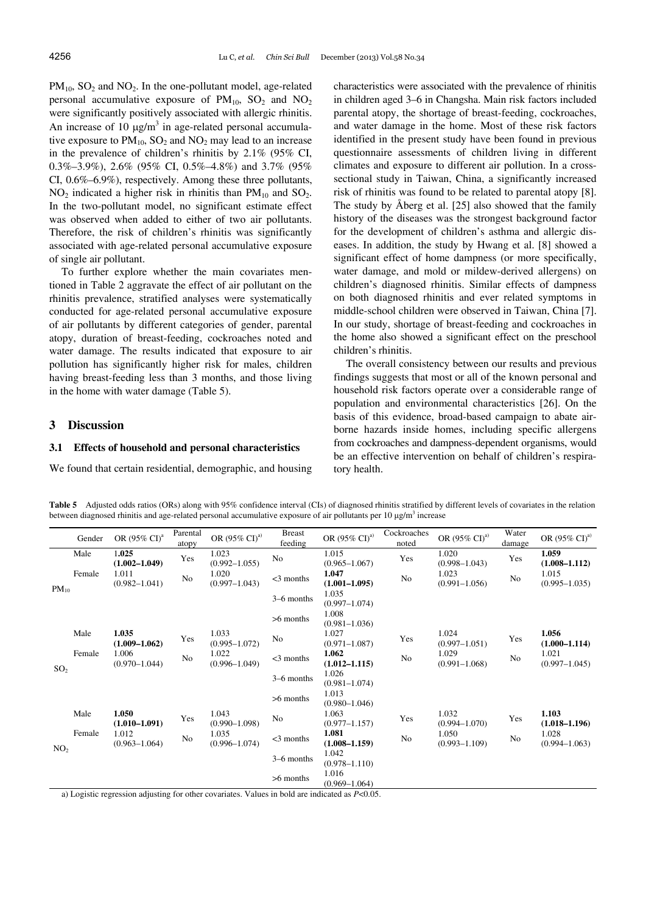$PM_{10}$ ,  $SO_2$  and  $NO_2$ . In the one-pollutant model, age-related personal accumulative exposure of  $PM_{10}$ ,  $SO_2$  and  $NO_2$ were significantly positively associated with allergic rhinitis. An increase of 10  $\mu$ g/m<sup>3</sup> in age-related personal accumulative exposure to  $PM_{10}$ ,  $SO_2$  and  $NO_2$  may lead to an increase in the prevalence of children's rhinitis by 2.1% (95% CI, 0.3%–3.9%), 2.6% (95% CI, 0.5%–4.8%) and 3.7% (95% CI, 0.6%–6.9%), respectively. Among these three pollutants,  $NO<sub>2</sub>$  indicated a higher risk in rhinitis than  $PM<sub>10</sub>$  and  $SO<sub>2</sub>$ . In the two-pollutant model, no significant estimate effect was observed when added to either of two air pollutants. Therefore, the risk of children's rhinitis was significantly associated with age-related personal accumulative exposure of single air pollutant.

To further explore whether the main covariates mentioned in Table 2 aggravate the effect of air pollutant on the rhinitis prevalence, stratified analyses were systematically conducted for age-related personal accumulative exposure of air pollutants by different categories of gender, parental atopy, duration of breast-feeding, cockroaches noted and water damage. The results indicated that exposure to air pollution has significantly higher risk for males, children having breast-feeding less than 3 months, and those living in the home with water damage (Table 5).

# **3 Discussion**

# **3.1 Effects of household and personal characteristics**

We found that certain residential, demographic, and housing

characteristics were associated with the prevalence of rhinitis in children aged 3–6 in Changsha. Main risk factors included parental atopy, the shortage of breast-feeding, cockroaches, and water damage in the home. Most of these risk factors identified in the present study have been found in previous questionnaire assessments of children living in different climates and exposure to different air pollution. In a crosssectional study in Taiwan, China, a significantly increased risk of rhinitis was found to be related to parental atopy [8]. The study by Åberg et al. [25] also showed that the family history of the diseases was the strongest background factor for the development of children's asthma and allergic diseases. In addition, the study by Hwang et al. [8] showed a significant effect of home dampness (or more specifically, water damage, and mold or mildew-derived allergens) on children's diagnosed rhinitis. Similar effects of dampness on both diagnosed rhinitis and ever related symptoms in middle-school children were observed in Taiwan, China [7]. In our study, shortage of breast-feeding and cockroaches in the home also showed a significant effect on the preschool children's rhinitis.

The overall consistency between our results and previous findings suggests that most or all of the known personal and household risk factors operate over a considerable range of population and environmental characteristics [26]. On the basis of this evidence, broad-based campaign to abate airborne hazards inside homes, including specific allergens from cockroaches and dampness-dependent organisms, would be an effective intervention on behalf of children's respiratory health.

**Table 5** Adjusted odds ratios (ORs) along with 95% confidence interval (CIs) of diagnosed rhinitis stratified by different levels of covariates in the relation between diagnosed rhinitis and age-related personal accumulative exposure of air pollutants per 10  $\mu$ g/m<sup>3</sup> increase

|                 | Gender | OR (95% CI) <sup>a</sup>   | Parental<br>atopy | OR (95% CI) <sup>a)</sup>  | <b>Breast</b><br>feeding | OR (95% CI) <sup>a)</sup>  | Cockroaches<br>noted | OR $(95\% \text{ CI})^{a}$ | Water<br>damage | OR $(95\% \text{ CI})^{a}$ |
|-----------------|--------|----------------------------|-------------------|----------------------------|--------------------------|----------------------------|----------------------|----------------------------|-----------------|----------------------------|
|                 | Male   | 1.025<br>$(1.002 - 1.049)$ | Yes               | 1.023<br>$(0.992 - 1.055)$ | No                       | 1.015<br>$(0.965 - 1.067)$ | Yes                  | 1.020<br>$(0.998 - 1.043)$ | Yes             | 1.059<br>$(1.008 - 1.112)$ |
| $PM_{10}$       | Female | 1.011<br>$(0.982 - 1.041)$ | No                | 1.020<br>$(0.997 - 1.043)$ | $<$ 3 months             | 1.047<br>$(1.001 - 1.095)$ | No                   | 1.023<br>$(0.991 - 1.056)$ | No              | 1.015<br>$(0.995 - 1.035)$ |
|                 |        |                            |                   |                            | 3–6 months               | 1.035<br>$(0.997 - 1.074)$ |                      |                            |                 |                            |
|                 |        |                            |                   |                            | $>6$ months              | 1.008<br>$(0.981 - 1.036)$ |                      |                            |                 |                            |
| SO <sub>2</sub> | Male   | 1.035<br>$(1.009 - 1.062)$ | Yes               | 1.033<br>$(0.995 - 1.072)$ | No                       | 1.027<br>$(0.971 - 1.087)$ | Yes                  | 1.024<br>$(0.997 - 1.051)$ | Yes             | 1.056<br>$(1.000 - 1.114)$ |
|                 | Female | 1.006<br>$(0.970 - 1.044)$ | No                | 1.022<br>$(0.996 - 1.049)$ | $<$ 3 months             | 1.062<br>$(1.012 - 1.115)$ | No                   | 1.029<br>$(0.991 - 1.068)$ | No              | 1.021<br>$(0.997 - 1.045)$ |
|                 |        |                            |                   |                            | 3-6 months               | 1.026<br>$(0.981 - 1.074)$ |                      |                            |                 |                            |
|                 |        |                            |                   |                            | $>6$ months              | 1.013<br>$(0.980 - 1.046)$ |                      |                            |                 |                            |
| NO <sub>2</sub> | Male   | 1.050<br>$(1.010 - 1.091)$ | Yes               | 1.043<br>$(0.990 - 1.098)$ | No                       | 1.063<br>$(0.977 - 1.157)$ | Yes                  | 1.032<br>$(0.994 - 1.070)$ | Yes             | 1.103<br>$(1.018 - 1.196)$ |
|                 | Female | 1.012<br>$(0.963 - 1.064)$ | No                | 1.035<br>$(0.996 - 1.074)$ | $<$ 3 months             | 1.081<br>$(1.008 - 1.159)$ | No                   | 1.050<br>$(0.993 - 1.109)$ | No              | 1.028<br>$(0.994 - 1.063)$ |
|                 |        |                            |                   |                            | 3–6 months               | 1.042<br>$(0.978 - 1.110)$ |                      |                            |                 |                            |
|                 |        |                            |                   |                            | $>6$ months              | 1.016<br>$(0.969 - 1.064)$ |                      |                            |                 |                            |

a) Logistic regression adjusting for other covariates. Values in bold are indicated as *P*<0.05.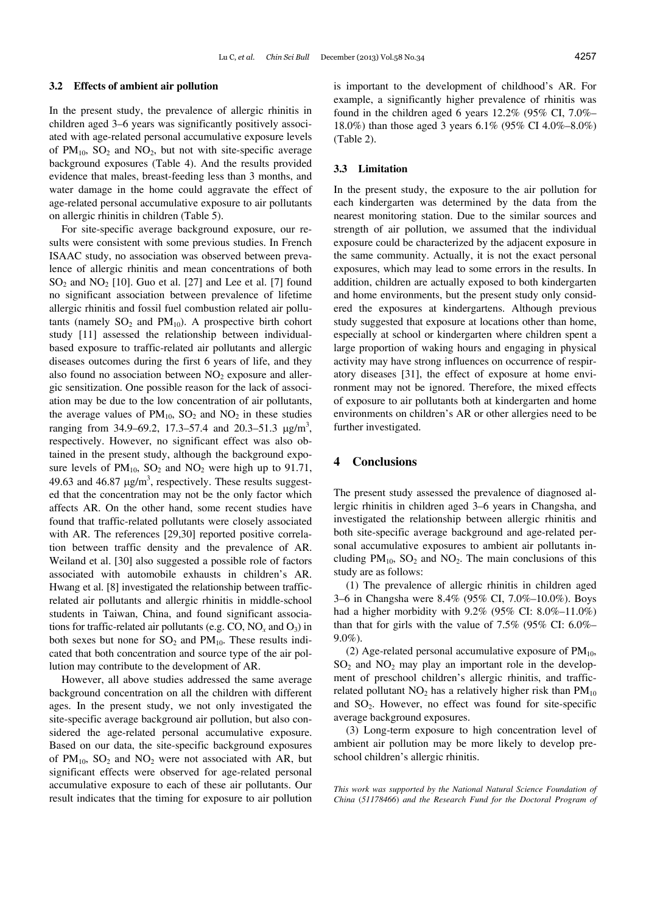### **3.2 Effects of ambient air pollution**

In the present study, the prevalence of allergic rhinitis in children aged 3–6 years was significantly positively associated with age-related personal accumulative exposure levels of  $PM_{10}$ ,  $SO_2$  and  $NO_2$ , but not with site-specific average background exposures (Table 4). And the results provided evidence that males, breast-feeding less than 3 months, and water damage in the home could aggravate the effect of age-related personal accumulative exposure to air pollutants on allergic rhinitis in children (Table 5).

For site-specific average background exposure, our results were consistent with some previous studies. In French ISAAC study, no association was observed between prevalence of allergic rhinitis and mean concentrations of both  $SO<sub>2</sub>$  and  $NO<sub>2</sub>$  [10]. Guo et al. [27] and Lee et al. [7] found no significant association between prevalence of lifetime allergic rhinitis and fossil fuel combustion related air pollutants (namely  $SO_2$  and  $PM_{10}$ ). A prospective birth cohort study [11] assessed the relationship between individualbased exposure to traffic-related air pollutants and allergic diseases outcomes during the first 6 years of life, and they also found no association between  $NO<sub>2</sub>$  exposure and allergic sensitization. One possible reason for the lack of association may be due to the low concentration of air pollutants, the average values of  $PM_{10}$ ,  $SO_2$  and  $NO_2$  in these studies ranging from 34.9–69.2, 17.3–57.4 and 20.3–51.3  $\mu$ g/m<sup>3</sup>, respectively. However, no significant effect was also obtained in the present study, although the background exposure levels of  $PM_{10}$ ,  $SO_2$  and  $NO_2$  were high up to 91.71, 49.63 and 46.87  $\mu$ g/m<sup>3</sup>, respectively. These results suggested that the concentration may not be the only factor which affects AR. On the other hand, some recent studies have found that traffic-related pollutants were closely associated with AR. The references [29,30] reported positive correlation between traffic density and the prevalence of AR. Weiland et al. [30] also suggested a possible role of factors associated with automobile exhausts in children's AR. Hwang et al. [8] investigated the relationship between trafficrelated air pollutants and allergic rhinitis in middle-school students in Taiwan, China, and found significant associations for traffic-related air pollutants (e.g. CO, NO*x* and O3) in both sexes but none for  $SO_2$  and  $PM_{10}$ . These results indicated that both concentration and source type of the air pollution may contribute to the development of AR.

However, all above studies addressed the same average background concentration on all the children with different ages. In the present study, we not only investigated the site-specific average background air pollution, but also considered the age-related personal accumulative exposure. Based on our data, the site-specific background exposures of  $PM_{10}$ ,  $SO_2$  and  $NO_2$  were not associated with AR, but significant effects were observed for age-related personal accumulative exposure to each of these air pollutants. Our result indicates that the timing for exposure to air pollution

is important to the development of childhood's AR. For example, a significantly higher prevalence of rhinitis was found in the children aged 6 years 12.2% (95% CI, 7.0%– 18.0%) than those aged 3 years 6.1% (95% CI 4.0%–8.0%) (Table 2).

### **3.3 Limitation**

In the present study, the exposure to the air pollution for each kindergarten was determined by the data from the nearest monitoring station. Due to the similar sources and strength of air pollution, we assumed that the individual exposure could be characterized by the adjacent exposure in the same community. Actually, it is not the exact personal exposures, which may lead to some errors in the results. In addition, children are actually exposed to both kindergarten and home environments, but the present study only considered the exposures at kindergartens. Although previous study suggested that exposure at locations other than home, especially at school or kindergarten where children spent a large proportion of waking hours and engaging in physical activity may have strong influences on occurrence of respiratory diseases [31], the effect of exposure at home environment may not be ignored. Therefore, the mixed effects of exposure to air pollutants both at kindergarten and home environments on children's AR or other allergies need to be further investigated.

# **4 Conclusions**

The present study assessed the prevalence of diagnosed allergic rhinitis in children aged 3–6 years in Changsha, and investigated the relationship between allergic rhinitis and both site-specific average background and age-related personal accumulative exposures to ambient air pollutants including  $PM_{10}$ ,  $SO_2$  and  $NO_2$ . The main conclusions of this study are as follows:

(1) The prevalence of allergic rhinitis in children aged 3–6 in Changsha were 8.4% (95% CI, 7.0%–10.0%). Boys had a higher morbidity with 9.2% (95% CI: 8.0%–11.0%) than that for girls with the value of 7.5% (95% CI: 6.0%– 9.0%).

(2) Age-related personal accumulative exposure of  $PM_{10}$ ,  $SO<sub>2</sub>$  and  $NO<sub>2</sub>$  may play an important role in the development of preschool children's allergic rhinitis, and trafficrelated pollutant  $NO<sub>2</sub>$  has a relatively higher risk than  $PM<sub>10</sub>$ and SO2. However, no effect was found for site-specific average background exposures.

(3) Long-term exposure to high concentration level of ambient air pollution may be more likely to develop preschool children's allergic rhinitis.

*This work was supported by the National Natural Science Foundation of China* (*51178466*) *and the Research Fund for the Doctoral Program of*